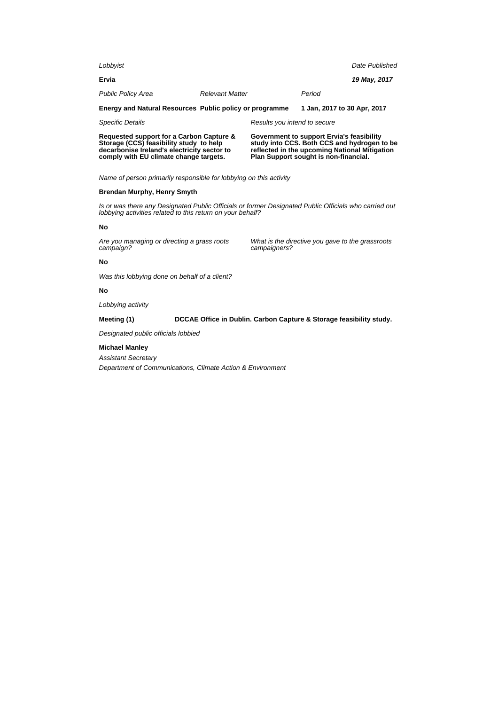| Lobbyist                                                                            |                        |                              |                                                                                          | Date Published |
|-------------------------------------------------------------------------------------|------------------------|------------------------------|------------------------------------------------------------------------------------------|----------------|
| Ervia                                                                               |                        |                              |                                                                                          | 19 May, 2017   |
| <b>Public Policy Area</b>                                                           | <b>Relevant Matter</b> |                              | Period                                                                                   |                |
| Energy and Natural Resources Public policy or programme                             |                        |                              | 1 Jan, 2017 to 30 Apr, 2017                                                              |                |
| <b>Specific Details</b>                                                             |                        | Results you intend to secure |                                                                                          |                |
| Requested support for a Carbon Capture &<br>Storage (CCS) feasibility study to help |                        |                              | Government to support Ervia's feasibility<br>study into CCS. Both CCS and hydrogen to be |                |

Name of person primarily responsible for lobbying on this activity

#### **Brendan Murphy, Henry Smyth**

Is or was there any Designated Public Officials or former Designated Public Officials who carried out lobbying activities related to this return on your behalf?

#### **No**

Are you managing or directing a grass roots campaign?

**decarbonise Ireland's electricity sector to comply with EU climate change targets.**

> What is the directive you gave to the grassroots campaigners?

> **reflected in the upcoming National Mitigation Plan Support sought is non-financial.**

# **No**

Was this lobbying done on behalf of a client?

#### **No**

Lobbying activity

#### **Meeting (1) DCCAE Office in Dublin. Carbon Capture & Storage feasibility study.**

Designated public officials lobbied

#### **Michael Manley**

Assistant Secretary

Department of Communications, Climate Action & Environment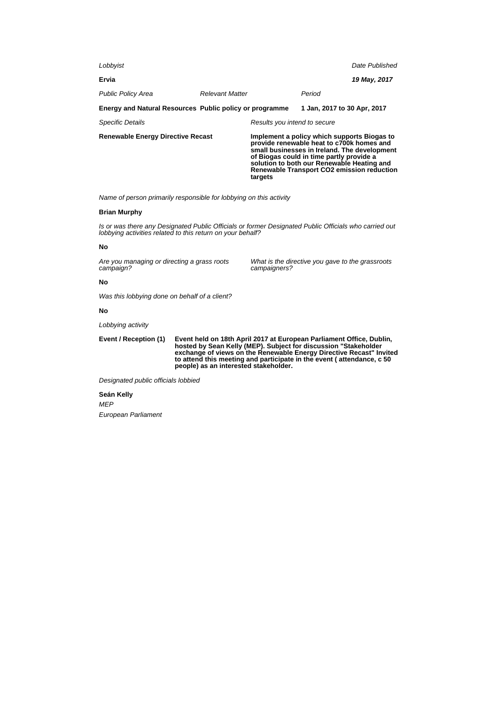| <b>Renewable Energy Directive Recast</b>                |                        | targets                      | Implement a policy which supports Biogas to<br>provide renewable heat to c700k homes and<br>small businesses in Ireland. The development<br>of Biogas could in time partly provide a<br>solution to both our Renewable Heating and<br>Renewable Transport CO2 emission reduction |                |
|---------------------------------------------------------|------------------------|------------------------------|----------------------------------------------------------------------------------------------------------------------------------------------------------------------------------------------------------------------------------------------------------------------------------|----------------|
| <b>Specific Details</b>                                 |                        | Results you intend to secure |                                                                                                                                                                                                                                                                                  |                |
| Energy and Natural Resources Public policy or programme |                        |                              | 1 Jan, 2017 to 30 Apr, 2017                                                                                                                                                                                                                                                      |                |
| <b>Public Policy Area</b>                               | <b>Relevant Matter</b> |                              | Period                                                                                                                                                                                                                                                                           |                |
| Ervia                                                   |                        |                              |                                                                                                                                                                                                                                                                                  | 19 May, 2017   |
| Lobbyist                                                |                        |                              |                                                                                                                                                                                                                                                                                  | Date Published |

Name of person primarily responsible for lobbying on this activity

#### **Brian Murphy**

Is or was there any Designated Public Officials or former Designated Public Officials who carried out lobbying activities related to this return on your behalf?

#### **No**

Are you managing or directing a grass roots campaign?

What is the directive you gave to the grassroots campaigners?

## **No**

Was this lobbying done on behalf of a client?

#### **No**

Lobbying activity

**Event / Reception (1) Event held on 18th April 2017 at European Parliament Office, Dublin, hosted by Sean Kelly (MEP). Subject for discussion "Stakeholder exchange of views on the Renewable Energy Directive Recast" Invited to attend this meeting and participate in the event ( attendance, c 50 people) as an interested stakeholder.**

Designated public officials lobbied

**Seán Kelly** MEP European Parliament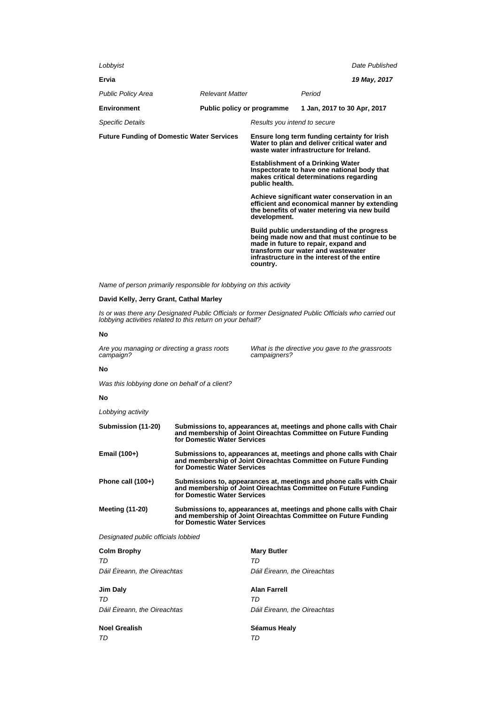| Lobbyist                                         |                            |                                                                                                                                                              |                                                                                                                                                                                   | Date Published |
|--------------------------------------------------|----------------------------|--------------------------------------------------------------------------------------------------------------------------------------------------------------|-----------------------------------------------------------------------------------------------------------------------------------------------------------------------------------|----------------|
| Ervia                                            |                            |                                                                                                                                                              |                                                                                                                                                                                   | 19 May, 2017   |
| <b>Public Policy Area</b>                        | <b>Relevant Matter</b>     |                                                                                                                                                              | Period                                                                                                                                                                            |                |
| Environment                                      | Public policy or programme |                                                                                                                                                              | 1 Jan, 2017 to 30 Apr, 2017                                                                                                                                                       |                |
| <b>Specific Details</b>                          |                            | Results you intend to secure                                                                                                                                 |                                                                                                                                                                                   |                |
| <b>Future Funding of Domestic Water Services</b> |                            | Ensure long term funding certainty for Irish<br>Water to plan and deliver critical water and<br>waste water infrastructure for Ireland.                      |                                                                                                                                                                                   |                |
|                                                  |                            | public health.                                                                                                                                               | <b>Establishment of a Drinking Water</b><br>Inspectorate to have one national body that<br>makes critical determinations regarding                                                |                |
|                                                  |                            | Achieve significant water conservation in an<br>efficient and economical manner by extending<br>the benefits of water metering via new build<br>development. |                                                                                                                                                                                   |                |
|                                                  |                            | transform our water and wastewater<br>country.                                                                                                               | Build public understanding of the progress<br>being made now and that must continue to be<br>made in future to repair, expand and<br>infrastructure in the interest of the entire |                |

Name of person primarily responsible for lobbying on this activity

## **David Kelly, Jerry Grant, Cathal Marley**

Is or was there any Designated Public Officials or former Designated Public Officials who carried out lobbying activities related to this return on your behalf?

## **No**

Are you managing or directing a grass roots campaign?

What is the directive you gave to the grassroots campaigners?

#### **No**

Was this lobbying done on behalf of a client?

#### **No**

Lobbying activity

| Submission (11-20)     | Submissions to, appearances at, meetings and phone calls with Chair<br>and membership of Joint Oireachtas Committee on Future Funding<br>for Domestic Water Services |
|------------------------|----------------------------------------------------------------------------------------------------------------------------------------------------------------------|
| Email (100+)           | Submissions to, appearances at, meetings and phone calls with Chair<br>and membership of Joint Oireachtas Committee on Future Funding<br>for Domestic Water Services |
| Phone call (100+)      | Submissions to, appearances at, meetings and phone calls with Chair<br>and membership of Joint Oireachtas Committee on Future Funding<br>for Domestic Water Services |
| <b>Meeting (11-20)</b> | Submissions to, appearances at, meetings and phone calls with Chair<br>and membership of Joint Oireachtas Committee on Future Funding<br>for Domestic Water Services |

Designated public officials lobbied

| <b>Colm Brophy</b>           | <b>Mary Butler</b>           |
|------------------------------|------------------------------|
| TD                           | TD                           |
| Dáil Éireann, the Oireachtas | Dáil Éireann, the Oireachtas |
| Jim Daly                     | <b>Alan Farrell</b>          |
| TD                           | TD                           |
| Dáil Éireann, the Oireachtas | Dáil Éireann, the Oireachtas |
| <b>Noel Grealish</b>         | Séamus Healy                 |
| TD                           | TD                           |